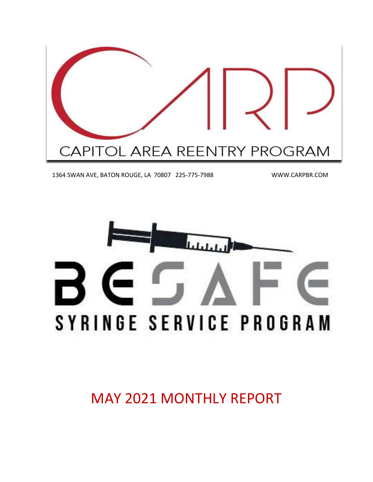

1364 SWAN AVE, BATON ROUGE, LA 70807 225-775-7988 WWW.CARPBR.COM



MAY 2021 MONTHLY REPORT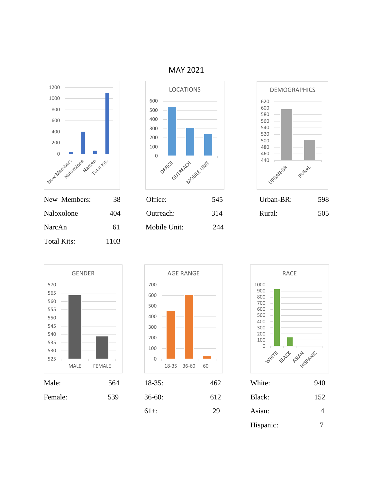





| New Members: | 38. | Office:      | D4D | Urban-BR: | 598 |
|--------------|-----|--------------|-----|-----------|-----|
| Naloxolone   | 404 | Outreach:    | 314 | Rural:    | 505 |
| NarcAn       | 61  | Mobile Unit: | 244 |           |     |









RACE

| Male:   | 564 | $18 - 35$ : | 462 | White:    | 940            |
|---------|-----|-------------|-----|-----------|----------------|
| Female: | 539 | $36-60:$    | 612 | Black:    | 152            |
|         |     | $61+$ :     | 29  | Asian:    | $\overline{4}$ |
|         |     |             |     | Hispanic: | ⇁              |

MAY 2021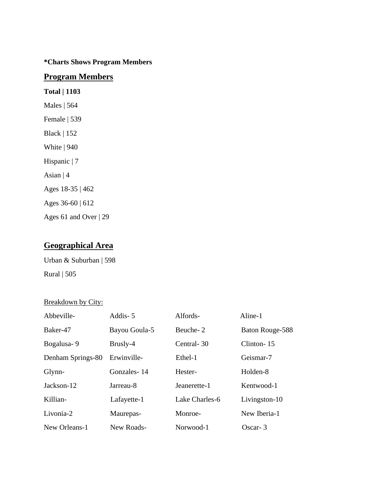#### **\*Charts Shows Program Members**

#### **Program Members**

**Total | 1103** Males | 564 Female | 539 Black | 152 White | 940 Hispanic | 7 Asian | 4 Ages 18-35 | 462 Ages 36-60 | 612 Ages 61 and Over | 29

### **Geographical Area**

Urban & Suburban | 598

Rural | 505

#### Breakdown by City:

| Abbeville-        | Addis-5       | Alfords-       | Aline-1         |
|-------------------|---------------|----------------|-----------------|
| Baker-47          | Bayou Goula-5 | Beuche-2       | Baton Rouge-588 |
| Bogalusa-9        | Brusly-4      | Central-30     | Clinton-15      |
| Denham Springs-80 | Erwinville-   | Ethel-1        | Geismar-7       |
| Glynn-            | Gonzales-14   | Hester-        | Holden-8        |
| Jackson-12        | Jarreau-8     | Jeanerette-1   | Kentwood-1      |
| Killian-          | Lafayette-1   | Lake Charles-6 | Livingston-10   |
| Livonia-2         | Maurepas-     | Monroe-        | New Iberia-1    |
| New Orleans-1     | New Roads-    | Norwood-1      | $Oscar-3$       |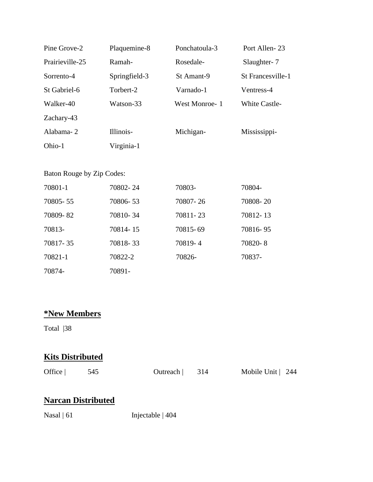| Pine Grove-2    | Plaquemine-8  | Ponchatoula-3 | Port Allen-23     |
|-----------------|---------------|---------------|-------------------|
| Prairieville-25 | Ramah-        | Rosedale-     | Slaughter-7       |
| Sorrento-4      | Springfield-3 | St Amant-9    | St Francesville-1 |
| St Gabriel-6    | Torbert-2     | Varnado-1     | Ventress-4        |
| Walker-40       | Watson-33     | West Monroe-1 | White Castle-     |
| Zachary-43      |               |               |                   |
| Alabama-2       | Illinois-     | Michigan-     | Mississippi-      |
| Ohio-1          | Virginia-1    |               |                   |

#### Baton Rouge by Zip Codes:

| 70801-1    | 70802-24 | 70803-   | 70804-   |
|------------|----------|----------|----------|
| 70805 - 55 | 70806-53 | 70807-26 | 70808-20 |
| 70809-82   | 70810-34 | 70811-23 | 70812-13 |
| 70813-     | 70814-15 | 70815-69 | 70816-95 |
| 70817-35   | 70818-33 | 70819-4  | 70820-8  |
| 70821-1    | 70822-2  | 70826-   | 70837-   |
| 70874-     | 70891-   |          |          |

## **\*New Members**

Total |38

## **Kits Distributed**

| Office $ $ |  |
|------------|--|
|------------|--|

Office | 545 Outreach | 314 Mobile Unit | 244

## **Narcan Distributed**

Nasal | 61 Injectable | 404